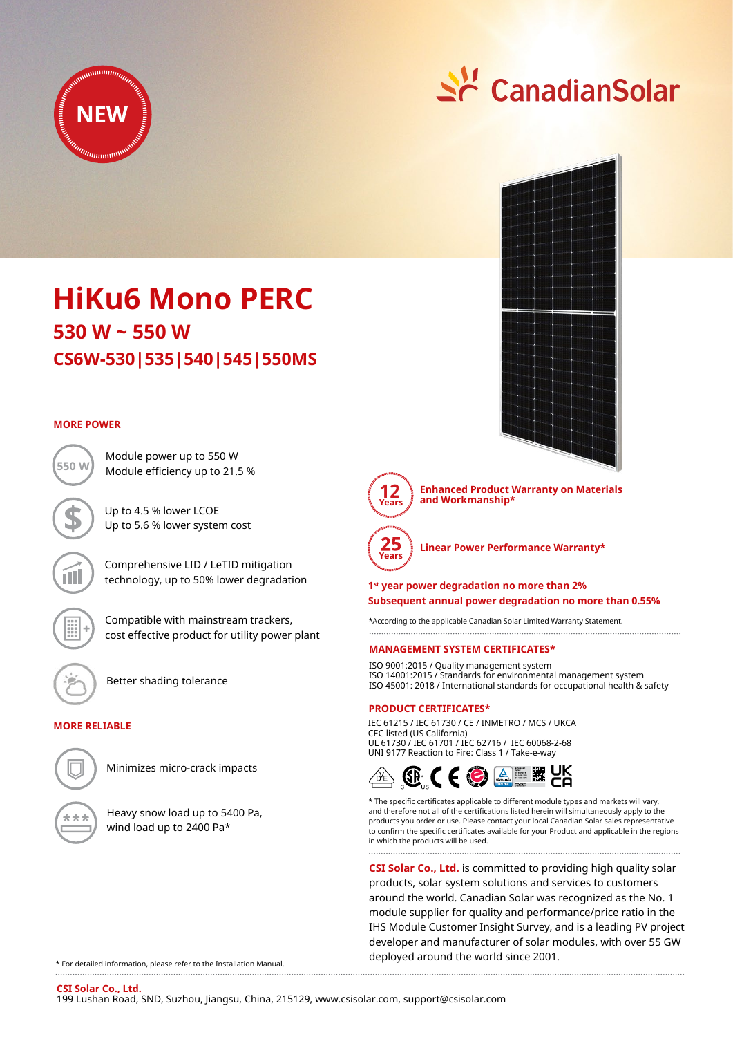

# <u> 수</u> CanadianSolar



**Enhanced Product Warranty on Materials and Workmanship\***



**Linear Power Performance Warranty\***

**1st year power degradation no more than 2% Subsequent annual power degradation no more than 0.55%**

\*According to the applicable Canadian Solar Limited Warranty Statement. 

### **MANAGEMENT SYSTEM CERTIFICATES\***

ISO 9001:2015 / Quality management system ISO 14001:2015 / Standards for environmental management system ISO 45001: 2018 / International standards for occupational health & safety

### **PRODUCT CERTIFICATES\***

IEC 61215 / IEC 61730 / CE / INMETRO / MCS / UKCA CEC listed (US California) UL 61730 / IEC 61701 / IEC 62716 / IEC 60068-2-68 UNI 9177 Reaction to Fire: Class 1 / Take-e-way



\* The specific certificates applicable to different module types and markets will vary, and therefore not all of the certifications listed herein will simultaneously apply to the products you order or use. Please contact your local Canadian Solar sales representative to confirm the specific certificates available for your Product and applicable in the regions in which the products will be used.

**CSI Solar Co., Ltd.** is committed to providing high quality solar products, solar system solutions and services to customers around the world. Canadian Solar was recognized as the No. 1 module supplier for quality and performance/price ratio in the IHS Module Customer Insight Survey, and is a leading PV project developer and manufacturer of solar modules, with over 55 GW deployed around the world since 2001.

**CS6W-530|535|540|545|550MS 530 W ~ 550 W HiKu6 Mono PERC**

### **MORE POWER**



Compatible with mainstream trackers, cost effective product for utility power plant

Comprehensive LID / LeTID mitigation technology, up to 50% lower degradation

Module power up to 550 W

Up to 4.5 % lower LCOE Up to 5.6 % lower system cost

Better shading tolerance

### **MORE RELIABLE**



Minimizes micro-crack impacts

Heavy snow load up to 5400 Pa, wind load up to 2400 Pa\*

\* For detailed information, please refer to the Installation Manual.